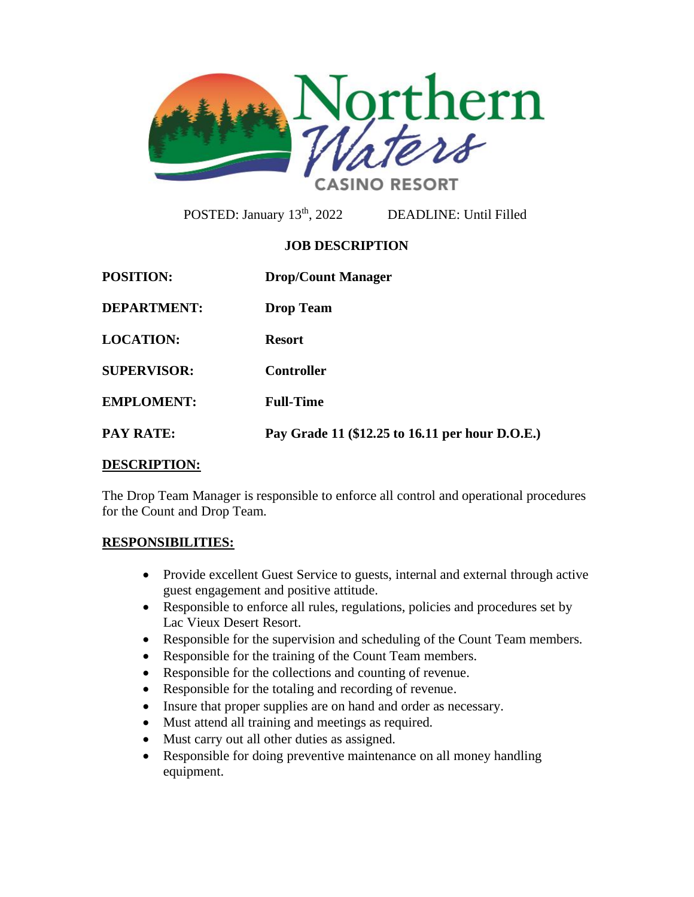

POSTED: January 13<sup>th</sup>, 2022

DEADLINE: Until Filled

# **JOB DESCRIPTION**

| <b>POSITION:</b>   | <b>Drop/Count Manager</b>                       |
|--------------------|-------------------------------------------------|
| <b>DEPARTMENT:</b> | <b>Drop Team</b>                                |
| <b>LOCATION:</b>   | <b>Resort</b>                                   |
| <b>SUPERVISOR:</b> | <b>Controller</b>                               |
| <b>EMPLOMENT:</b>  | <b>Full-Time</b>                                |
| <b>PAY RATE:</b>   | Pay Grade 11 (\$12.25 to 16.11 per hour D.O.E.) |

### **DESCRIPTION:**

The Drop Team Manager is responsible to enforce all control and operational procedures for the Count and Drop Team.

# **RESPONSIBILITIES:**

- Provide excellent Guest Service to guests, internal and external through active guest engagement and positive attitude.
- Responsible to enforce all rules, regulations, policies and procedures set by Lac Vieux Desert Resort.
- Responsible for the supervision and scheduling of the Count Team members.
- Responsible for the training of the Count Team members.
- Responsible for the collections and counting of revenue.
- Responsible for the totaling and recording of revenue.
- Insure that proper supplies are on hand and order as necessary.
- Must attend all training and meetings as required.
- Must carry out all other duties as assigned.
- Responsible for doing preventive maintenance on all money handling equipment.